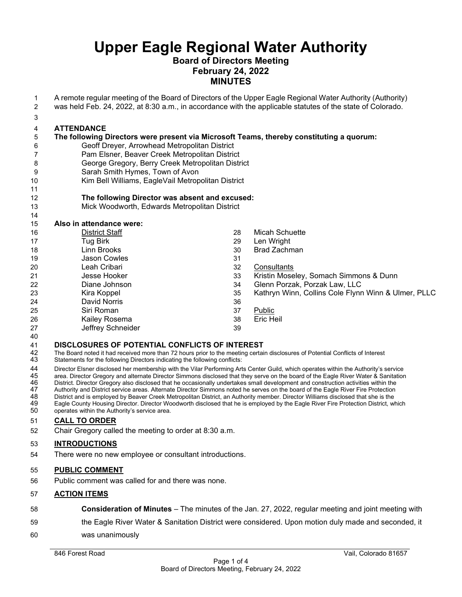# **Board of Directors Meeting February 24, 2022 MINUTES**

 A remote regular meeting of the Board of Directors of the Upper Eagle Regional Water Authority (Authority) was held Feb. 24, 2022, at 8:30 a.m., in accordance with the applicable statutes of the state of Colorado. **ATTENDANCE The following Directors were present via Microsoft Teams, thereby constituting a quorum:** Geoff Dreyer, Arrowhead Metropolitan District Pam Elsner, Beaver Creek Metropolitan District George Gregory, Berry Creek Metropolitan District Sarah Smith Hymes, Town of Avon Kim Bell Williams, EagleVail Metropolitan District **The following Director was absent and excused:** Mick Woodworth, Edwards Metropolitan District **Also in attendance were:** District Staff Tug Birk Linn Brooks Jason Cowles Leah Cribari Jesse Hooker Diane Johnson Kira Koppel David Norris Siri Roman Kailey Rosema Jeffrey Schneider Micah Schuette 29 Len Wright<br>30 Brad Zachn Brad Zachman 32 Consultants<br>33 Kristin Mose Kristin Moseley, Somach Simmons & Dunn Glenn Porzak, Porzak Law, LLC Kathryn Winn, Collins Cole Flynn Winn & Ulmer, PLLC Public Eric Heil **DISCLOSURES OF POTENTIAL CONFLICTS OF INTEREST** 42 The Board noted it had received more than 72 hours prior to the meeting certain disclosures of Potential Conflicts of Interest<br>43 Statements for the following Directors indicating the following conflicts: Statements for the following Directors indicating the following conflicts:

 Director Elsner disclosed her membership with the Vilar Performing Arts Center Guild, which operates within the Authority's service 45 area. Director Gregory and alternate Director Simmons disclosed that they serve on the board of the Eagle River Water & Sanitation<br>46 District. Director Gregory also disclosed that he occasionally undertakes small devel

- 46 District. Director Gregory also disclosed that he occasionally undertakes small development and construction activities within the<br>47 Authority and District service areas. Alternate Director Simmons noted he serves on t 47 Authority and District service areas. Alternate Director Simmons noted he serves on the board of the Eagle River Fire Protection<br>48 District and is employed by Beaver Creek Metropolitan District, an Authority member. Di
- District and is employed by Beaver Creek Metropolitan District, an Authority member. Director Williams disclosed that she is the Eagle County Housing Director. Director Woodworth disclosed that he is employed by the Eagle River Fire Protection District, which operates within the Authority's service area.

## **CALL TO ORDER**

Chair Gregory called the meeting to order at 8:30 a.m.

## **INTRODUCTIONS**

There were no new employee or consultant introductions.

#### **PUBLIC COMMENT**

Public comment was called for and there was none.

#### **ACTION ITEMS**

 **Consideration of Minutes** – The minutes of the Jan. 27, 2022, regular meeting and joint meeting with the Eagle River Water & Sanitation District were considered. Upon motion duly made and seconded, it was unanimously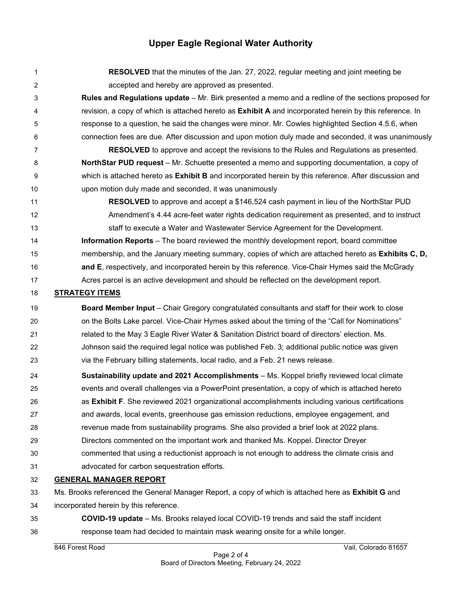**RESOLVED** that the minutes of the Jan. 27, 2022, regular meeting and joint meeting be accepted and hereby are approved as presented. **Rules and Regulations update** – Mr. Birk presented a memo and a redline of the sections proposed for revision, a copy of which is attached hereto as **Exhibit A** and incorporated herein by this reference. In response to a question, he said the changes were minor. Mr. Cowles highlighted Section 4.5.6, when connection fees are due. After discussion and upon motion duly made and seconded, it was unanimously **RESOLVED** to approve and accept the revisions to the Rules and Regulations as presented. **NorthStar PUD request** – Mr. Schuette presented a memo and supporting documentation, a copy of which is attached hereto as **Exhibit B** and incorporated herein by this reference. After discussion and upon motion duly made and seconded, it was unanimously **RESOLVED** to approve and accept a \$146,524 cash payment in lieu of the NorthStar PUD Amendment's 4.44 acre-feet water rights dedication requirement as presented, and to instruct staff to execute a Water and Wastewater Service Agreement for the Development. **Information Reports** – The board reviewed the monthly development report, board committee membership, and the January meeting summary, copies of which are attached hereto as **Exhibits C, D, and E**, respectively, and incorporated herein by this reference. Vice-Chair Hymes said the McGrady Acres parcel is an active development and should be reflected on the development report. **STRATEGY ITEMS**

 **Board Member Input** – Chair Gregory congratulated consultants and staff for their work to close 20 on the Bolts Lake parcel. Vice-Chair Hymes asked about the timing of the "Call for Nominations" related to the May 3 Eagle River Water & Sanitation District board of directors' election. Ms. Johnson said the required legal notice was published Feb. 3; additional public notice was given via the February billing statements, local radio, and a Feb. 21 news release.

- **Sustainability update and 2021 Accomplishments** Ms. Koppel briefly reviewed local climate events and overall challenges via a PowerPoint presentation, a copy of which is attached hereto as **Exhibit F**. She reviewed 2021 organizational accomplishments including various certifications and awards, local events, greenhouse gas emission reductions, employee engagement, and revenue made from sustainability programs. She also provided a brief look at 2022 plans.
- Directors commented on the important work and thanked Ms. Koppel. Director Dreyer commented that using a reductionist approach is not enough to address the climate crisis and
- advocated for carbon sequestration efforts.

# **GENERAL MANAGER REPORT**

Ms. Brooks referenced the General Manager Report, a copy of which is attached here as **Exhibit G** and

incorporated herein by this reference.

 **COVID-19 update** – Ms. Brooks relayed local COVID-19 trends and said the staff incident response team had decided to maintain mask wearing onsite for a while longer.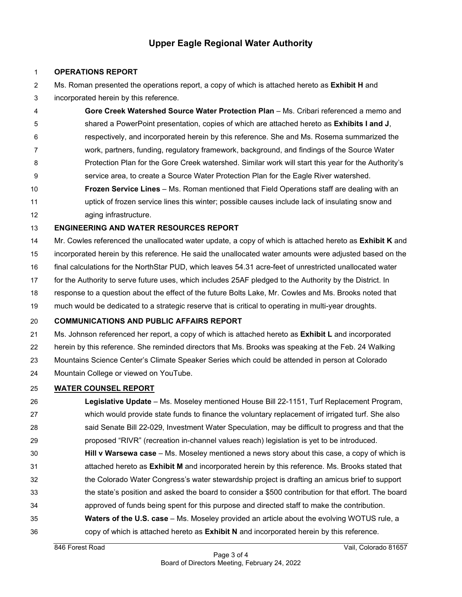### **OPERATIONS REPORT**

- Ms. Roman presented the operations report, a copy of which is attached hereto as **Exhibit H** and
- incorporated herein by this reference.
- **Gore Creek Watershed Source Water Protection Plan** Ms. Cribari referenced a memo and shared a PowerPoint presentation, copies of which are attached hereto as **Exhibits I and J**, respectively, and incorporated herein by this reference. She and Ms. Rosema summarized the work, partners, funding, regulatory framework, background, and findings of the Source Water Protection Plan for the Gore Creek watershed. Similar work will start this year for the Authority's service area, to create a Source Water Protection Plan for the Eagle River watershed. **Frozen Service Lines** – Ms. Roman mentioned that Field Operations staff are dealing with an uptick of frozen service lines this winter; possible causes include lack of insulating snow and
- aging infrastructure.

# **ENGINEERING AND WATER RESOURCES REPORT**

 Mr. Cowles referenced the unallocated water update, a copy of which is attached hereto as **Exhibit K** and incorporated herein by this reference. He said the unallocated water amounts were adjusted based on the final calculations for the NorthStar PUD, which leaves 54.31 acre-feet of unrestricted unallocated water

- for the Authority to serve future uses, which includes 25AF pledged to the Authority by the District. In
- response to a question about the effect of the future Bolts Lake, Mr. Cowles and Ms. Brooks noted that
- much would be dedicated to a strategic reserve that is critical to operating in multi-year droughts.

## **COMMUNICATIONS AND PUBLIC AFFAIRS REPORT**

Ms. Johnson referenced her report, a copy of which is attached hereto as **Exhibit L** and incorporated

herein by this reference. She reminded directors that Ms. Brooks was speaking at the Feb. 24 Walking

- Mountains Science Center's Climate Speaker Series which could be attended in person at Colorado
- Mountain College or viewed on YouTube.

# **WATER COUNSEL REPORT**

- **Legislative Update**  Ms. Moseley mentioned House Bill 22-1151, Turf Replacement Program, which would provide state funds to finance the voluntary replacement of irrigated turf. She also said Senate Bill 22-029, Investment Water Speculation, may be difficult to progress and that the proposed "RIVR" (recreation in-channel values reach) legislation is yet to be introduced. **Hill v Warsewa case** – Ms. Moseley mentioned a news story about this case, a copy of which is attached hereto as **Exhibit M** and incorporated herein by this reference. Ms. Brooks stated that the Colorado Water Congress's water stewardship project is drafting an amicus brief to support the state's position and asked the board to consider a \$500 contribution for that effort. The board
- approved of funds being spent for this purpose and directed staff to make the contribution.
- **Waters of the U.S. case** Ms. Moseley provided an article about the evolving WOTUS rule, a copy of which is attached hereto as **Exhibit N** and incorporated herein by this reference.